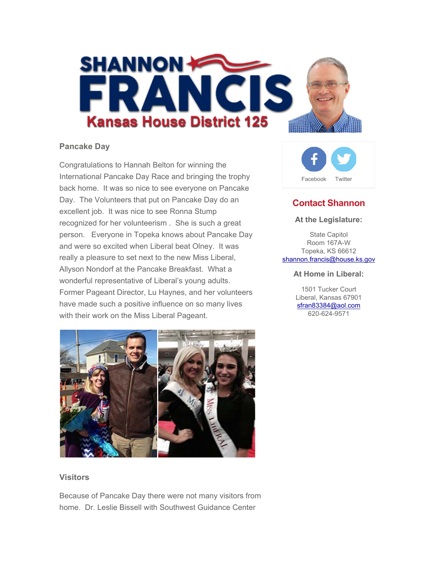

### **Pancake Day**

Congratulations to Hannah Belton for winning the International Pancake Day Race and bringing the trophy back home. It was so nice to see everyone on Pancake Day. The Volunteers that put on Pancake Day do an excellent job. It was nice to see Ronna Stump recognized for her volunteerism . She is such a great person. Everyone in Topeka knows about Pancake Day and were so excited when Liberal beat Olney. It was really a pleasure to set next to the new Miss Liberal, Allyson Nondorf at the Pancake Breakfast. What a wonderful representative of Liberal's young adults. Former Pageant Director, Lu Haynes, and her volunteers have made such a positive influence on so many lives with their work on the Miss Liberal Pageant.



#### **Visitors**

Because of Pancake Day there were not many visitors from home. Dr. Leslie Bissell with Southwest Guidance Center



# **Contact Shannon**

#### **At the Legislature:**

State Capitol Room 167A-W Topeka, KS 66612 shannon.francis@house.ks.gov

#### **At Home in Liberal:**

1501 Tucker Court Liberal, Kansas 67901 sfran83384@aol.com 620-624-9571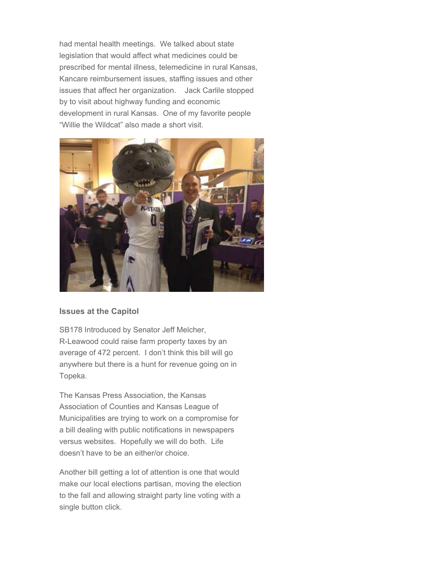had mental health meetings. We talked about state legislation that would affect what medicines could be prescribed for mental illness, telemedicine in rural Kansas, Kancare reimbursement issues, staffing issues and other issues that affect her organization. Jack Carlile stopped by to visit about highway funding and economic development in rural Kansas. One of my favorite people "Willie the Wildcat" also made a short visit.



### **Issues at the Capitol**

SB178 Introduced by Senator Jeff Melcher, R-Leawood could raise farm property taxes by an average of 472 percent. I don't think this bill will go anywhere but there is a hunt for revenue going on in Topeka.

The Kansas Press Association, the Kansas Association of Counties and Kansas League of Municipalities are trying to work on a compromise for a bill dealing with public notifications in newspapers versus websites. Hopefully we will do both. Life doesn't have to be an either/or choice.

Another bill getting a lot of attention is one that would make our local elections partisan, moving the election to the fall and allowing straight party line voting with a single button click.